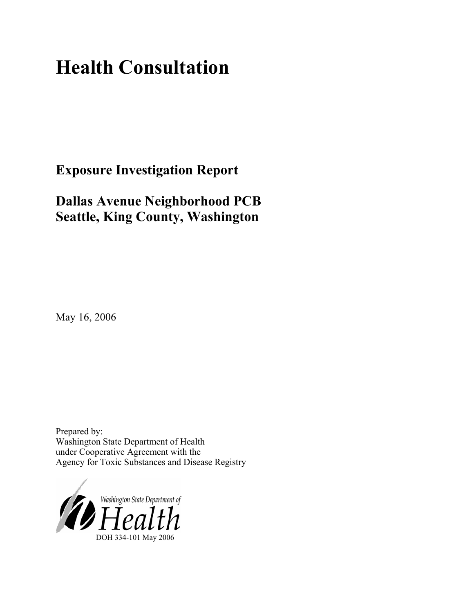# **Health Consultation**

**Exposure Investigation Report** 

# **Dallas Avenue Neighborhood PCB Seattle, King County, Washington**

May 16, 2006

Prepared by: Washington State Department of Health under Cooperative Agreement with the Agency for Toxic Substances and Disease Registry

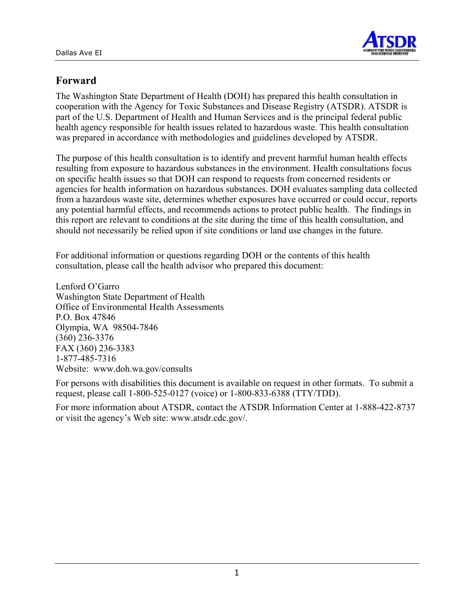

# **Forward**

The Washington State Department of Health (DOH) has prepared this health consultation in cooperation with the Agency for Toxic Substances and Disease Registry (ATSDR). ATSDR is part of the U.S. Department of Health and Human Services and is the principal federal public health agency responsible for health issues related to hazardous waste. This health consultation was prepared in accordance with methodologies and guidelines developed by ATSDR.

The purpose of this health consultation is to identify and prevent harmful human health effects resulting from exposure to hazardous substances in the environment. Health consultations focus on specific health issues so that DOH can respond to requests from concerned residents or agencies for health information on hazardous substances. DOH evaluates sampling data collected from a hazardous waste site, determines whether exposures have occurred or could occur, reports any potential harmful effects, and recommends actions to protect public health. The findings in this report are relevant to conditions at the site during the time of this health consultation, and should not necessarily be relied upon if site conditions or land use changes in the future.

For additional information or questions regarding DOH or the contents of this health consultation, please call the health advisor who prepared this document:

Lenford O'Garro Washington State Department of Health Office of Environmental Health Assessments P.O. Box 47846 Olympia, WA 98504-7846 (360) 236-3376 FAX (360) 236-3383 1-877-485-7316 Website: [www.doh.wa.gov/](http://www.doh.wa.gov/consults)consults

For persons with disabilities this document is available on request in other formats. To submit a request, please call 1-800-525-0127 (voice) or 1-800-833-6388 (TTY/TDD).

For more information about ATSDR, contact the ATSDR Information Center at 1-888-422-8737 or visit the agency's Web site: www.atsdr.cdc.gov/.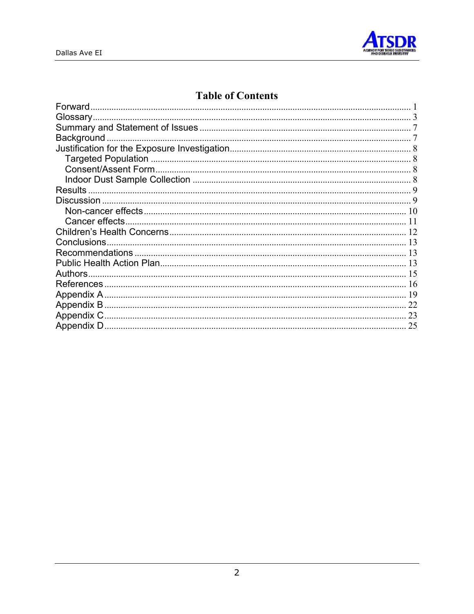

# **Table of Contents**

| Forward           |    |
|-------------------|----|
|                   |    |
|                   |    |
| <b>Background</b> |    |
|                   |    |
|                   |    |
|                   |    |
|                   |    |
| <b>Results</b>    |    |
|                   |    |
|                   |    |
|                   |    |
|                   |    |
|                   |    |
|                   |    |
|                   |    |
| Authors.          |    |
|                   |    |
|                   |    |
| 22                |    |
| 23                |    |
|                   | 25 |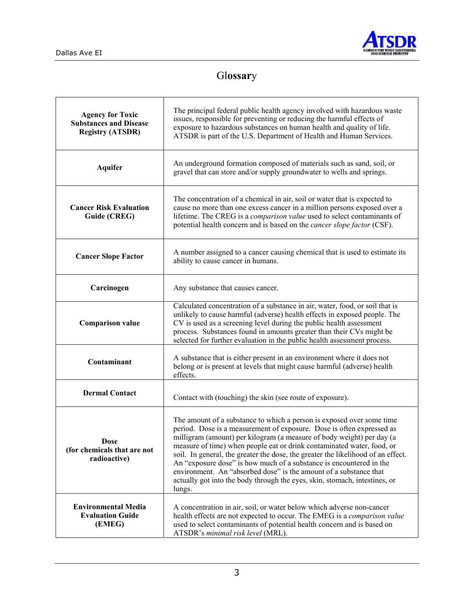

# Gl**ossar**y

| <b>Agency for Toxic</b><br><b>Substances and Disease</b><br><b>Registry (ATSDR)</b> | The principal federal public health agency involved with hazardous waste<br>issues, responsible for preventing or reducing the harmful effects of<br>exposure to hazardous substances on human health and quality of life.<br>ATSDR is part of the U.S. Department of Health and Human Services.                                                                                                                                                                                                                                                                                                                          |
|-------------------------------------------------------------------------------------|---------------------------------------------------------------------------------------------------------------------------------------------------------------------------------------------------------------------------------------------------------------------------------------------------------------------------------------------------------------------------------------------------------------------------------------------------------------------------------------------------------------------------------------------------------------------------------------------------------------------------|
| <b>Aquifer</b>                                                                      | An underground formation composed of materials such as sand, soil, or<br>gravel that can store and/or supply groundwater to wells and springs.                                                                                                                                                                                                                                                                                                                                                                                                                                                                            |
| <b>Cancer Risk Evaluation</b><br>Guide (CREG)                                       | The concentration of a chemical in air, soil or water that is expected to<br>cause no more than one excess cancer in a million persons exposed over a<br>lifetime. The CREG is a comparison value used to select contaminants of<br>potential health concern and is based on the <i>cancer slope factor</i> (CSF).                                                                                                                                                                                                                                                                                                        |
| <b>Cancer Slope Factor</b>                                                          | A number assigned to a cancer causing chemical that is used to estimate its<br>ability to cause cancer in humans.                                                                                                                                                                                                                                                                                                                                                                                                                                                                                                         |
| Carcinogen                                                                          | Any substance that causes cancer.                                                                                                                                                                                                                                                                                                                                                                                                                                                                                                                                                                                         |
| <b>Comparison value</b>                                                             | Calculated concentration of a substance in air, water, food, or soil that is<br>unlikely to cause harmful (adverse) health effects in exposed people. The<br>CV is used as a screening level during the public health assessment<br>process. Substances found in amounts greater than their CVs might be<br>selected for further evaluation in the public health assessment process.                                                                                                                                                                                                                                      |
| Contaminant                                                                         | A substance that is either present in an environment where it does not<br>belong or is present at levels that might cause harmful (adverse) health<br>effects.                                                                                                                                                                                                                                                                                                                                                                                                                                                            |
| <b>Dermal Contact</b>                                                               | Contact with (touching) the skin (see route of exposure).                                                                                                                                                                                                                                                                                                                                                                                                                                                                                                                                                                 |
| <b>Dose</b><br>(for chemicals that are not<br>radioactive)                          | The amount of a substance to which a person is exposed over some time<br>period. Dose is a measurement of exposure. Dose is often expressed as<br>milligram (amount) per kilogram (a measure of body weight) per day (a<br>measure of time) when people eat or drink contaminated water, food, or<br>soil. In general, the greater the dose, the greater the likelihood of an effect.<br>An "exposure dose" is how much of a substance is encountered in the<br>environment. An "absorbed dose" is the amount of a substance that<br>actually got into the body through the eyes, skin, stomach, intestines, or<br>lungs. |
| <b>Environmental Media</b><br><b>Evaluation Guide</b><br>(EMEG)                     | A concentration in air, soil, or water below which adverse non-cancer<br>health effects are not expected to occur. The EMEG is a comparison value<br>used to select contaminants of potential health concern and is based on<br>ATSDR's minimal risk level (MRL).                                                                                                                                                                                                                                                                                                                                                         |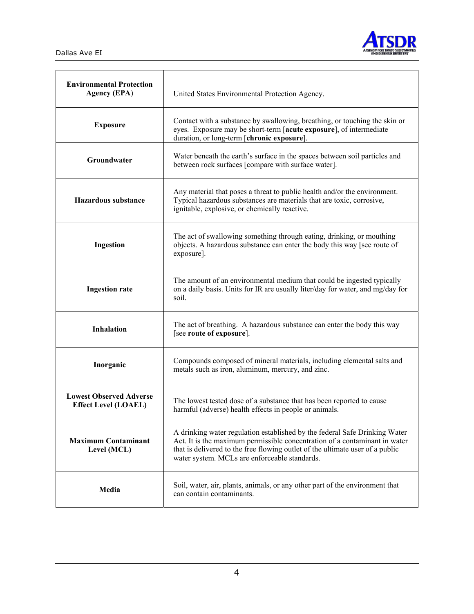

| <b>Environmental Protection</b><br><b>Agency (EPA)</b>        | United States Environmental Protection Agency.                                                                                                                                                                                                                                             |  |  |  |  |
|---------------------------------------------------------------|--------------------------------------------------------------------------------------------------------------------------------------------------------------------------------------------------------------------------------------------------------------------------------------------|--|--|--|--|
| <b>Exposure</b>                                               | Contact with a substance by swallowing, breathing, or touching the skin or<br>eyes. Exposure may be short-term [acute exposure], of intermediate<br>duration, or long-term [chronic exposure].                                                                                             |  |  |  |  |
| Groundwater                                                   | Water beneath the earth's surface in the spaces between soil particles and<br>between rock surfaces [compare with surface water].                                                                                                                                                          |  |  |  |  |
| <b>Hazardous substance</b>                                    | Any material that poses a threat to public health and/or the environment.<br>Typical hazardous substances are materials that are toxic, corrosive,<br>ignitable, explosive, or chemically reactive.                                                                                        |  |  |  |  |
| Ingestion                                                     | The act of swallowing something through eating, drinking, or mouthing<br>objects. A hazardous substance can enter the body this way [see route of<br>exposure].                                                                                                                            |  |  |  |  |
| <b>Ingestion rate</b>                                         | The amount of an environmental medium that could be ingested typically<br>on a daily basis. Units for IR are usually liter/day for water, and mg/day for<br>soil.                                                                                                                          |  |  |  |  |
| <b>Inhalation</b>                                             | The act of breathing. A hazardous substance can enter the body this way<br>[see route of exposure].                                                                                                                                                                                        |  |  |  |  |
| Inorganic                                                     | Compounds composed of mineral materials, including elemental salts and<br>metals such as iron, aluminum, mercury, and zinc.                                                                                                                                                                |  |  |  |  |
| <b>Lowest Observed Adverse</b><br><b>Effect Level (LOAEL)</b> | The lowest tested dose of a substance that has been reported to cause<br>harmful (adverse) health effects in people or animals.                                                                                                                                                            |  |  |  |  |
| <b>Maximum Contaminant</b><br>Level (MCL)                     | A drinking water regulation established by the federal Safe Drinking Water<br>Act. It is the maximum permissible concentration of a contaminant in water<br>that is delivered to the free flowing outlet of the ultimate user of a public<br>water system. MCLs are enforceable standards. |  |  |  |  |
| Media                                                         | Soil, water, air, plants, animals, or any other part of the environment that<br>can contain contaminants.                                                                                                                                                                                  |  |  |  |  |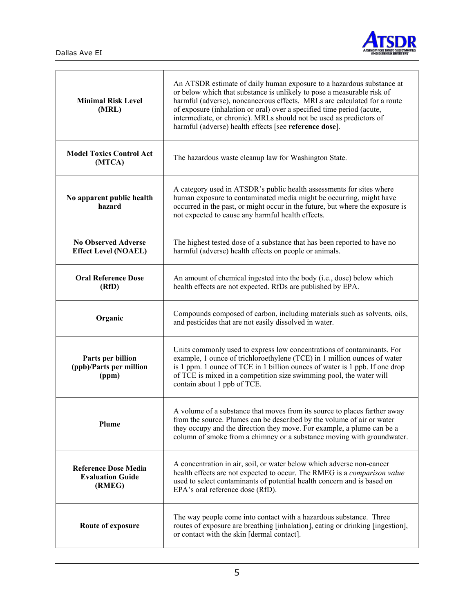$\Gamma$ 

 $\overline{\mathsf{T}}$ 



٦

| <b>Minimal Risk Level</b><br>(MRL)                               | An ATSDR estimate of daily human exposure to a hazardous substance at<br>or below which that substance is unlikely to pose a measurable risk of<br>harmful (adverse), noncancerous effects. MRLs are calculated for a route<br>of exposure (inhalation or oral) over a specified time period (acute,<br>intermediate, or chronic). MRLs should not be used as predictors of<br>harmful (adverse) health effects [see reference dose]. |
|------------------------------------------------------------------|---------------------------------------------------------------------------------------------------------------------------------------------------------------------------------------------------------------------------------------------------------------------------------------------------------------------------------------------------------------------------------------------------------------------------------------|
| <b>Model Toxics Control Act</b><br>(MTCA)                        | The hazardous waste cleanup law for Washington State.                                                                                                                                                                                                                                                                                                                                                                                 |
| No apparent public health<br>hazard                              | A category used in ATSDR's public health assessments for sites where<br>human exposure to contaminated media might be occurring, might have<br>occurred in the past, or might occur in the future, but where the exposure is<br>not expected to cause any harmful health effects.                                                                                                                                                     |
| <b>No Observed Adverse</b><br><b>Effect Level (NOAEL)</b>        | The highest tested dose of a substance that has been reported to have no<br>harmful (adverse) health effects on people or animals.                                                                                                                                                                                                                                                                                                    |
| <b>Oral Reference Dose</b><br>(RfD)                              | An amount of chemical ingested into the body (i.e., dose) below which<br>health effects are not expected. RfDs are published by EPA.                                                                                                                                                                                                                                                                                                  |
| Organic                                                          | Compounds composed of carbon, including materials such as solvents, oils,<br>and pesticides that are not easily dissolved in water.                                                                                                                                                                                                                                                                                                   |
| Parts per billion<br>(ppb)/Parts per million<br>(ppm)            | Units commonly used to express low concentrations of contaminants. For<br>example, 1 ounce of trichloroethylene (TCE) in 1 million ounces of water<br>is 1 ppm. 1 ounce of TCE in 1 billion ounces of water is 1 ppb. If one drop<br>of TCE is mixed in a competition size swimming pool, the water will<br>contain about 1 ppb of TCE.                                                                                               |
| <b>Plume</b>                                                     | A volume of a substance that moves from its source to places farther away<br>from the source. Plumes can be described by the volume of air or water<br>they occupy and the direction they move. For example, a plume can be a<br>column of smoke from a chimney or a substance moving with groundwater.                                                                                                                               |
| <b>Reference Dose Media</b><br><b>Evaluation Guide</b><br>(RMEG) | A concentration in air, soil, or water below which adverse non-cancer<br>health effects are not expected to occur. The RMEG is a comparison value<br>used to select contaminants of potential health concern and is based on<br>EPA's oral reference dose (RfD).                                                                                                                                                                      |
| Route of exposure                                                | The way people come into contact with a hazardous substance. Three<br>routes of exposure are breathing [inhalation], eating or drinking [ingestion],<br>or contact with the skin [dermal contact].                                                                                                                                                                                                                                    |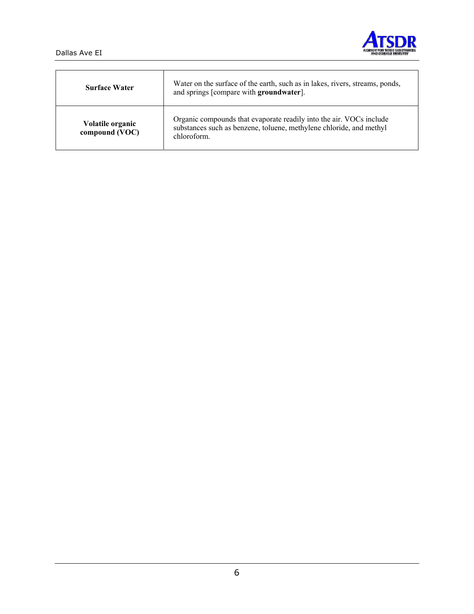



| <b>Surface Water</b>               | Water on the surface of the earth, such as in lakes, rivers, streams, ponds,<br>and springs [compare with groundwater].                                   |
|------------------------------------|-----------------------------------------------------------------------------------------------------------------------------------------------------------|
| Volatile organic<br>compound (VOC) | Organic compounds that evaporate readily into the air. VOCs include<br>substances such as benzene, toluene, methylene chloride, and methyl<br>chloroform. |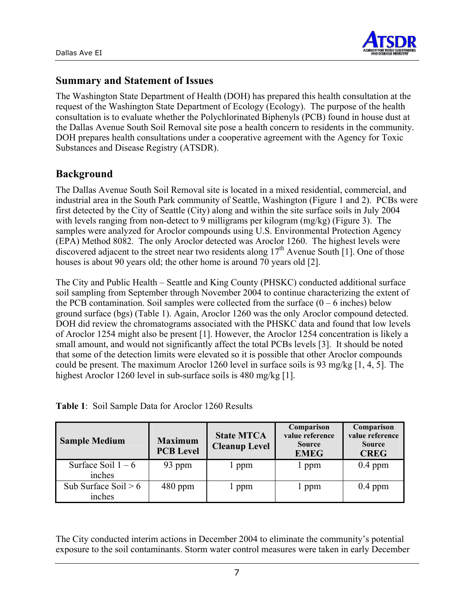

### **Summary and Statement of Issues**

The Washington State Department of Health (DOH) has prepared this health consultation at the request of the Washington State Department of Ecology (Ecology). The purpose of the health consultation is to evaluate whether the Polychlorinated Biphenyls (PCB) found in house dust at the Dallas Avenue South Soil Removal site pose a health concern to residents in the community. DOH prepares health consultations under a cooperative agreement with the Agency for Toxic Substances and Disease Registry (ATSDR).

### **Background**

The Dallas Avenue South Soil Removal site is located in a mixed residential, commercial, and industrial area in the South Park community of Seattle, Washington (Figure 1 and 2). PCBs were first detected by the City of Seattle (City) along and within the site surface soils in July 2004 with levels ranging from non-detect to 9 milligrams per kilogram (mg/kg) (Figure 3). The samples were analyzed for Aroclor compounds using U.S. Environmental Protection Agency (EPA) Method 8082. The only Aroclor detected was Aroclor 1260. The highest levels were discovered adjacent to the street near two residents along  $17<sup>th</sup>$  Avenue South [1]. One of those houses is about 90 years old; the other home is around 70 years old [2].

The City and Public Health – Seattle and King County (PHSKC) conducted additional surface soil sampling from September through November 2004 to continue characterizing the extent of the PCB contamination. Soil samples were collected from the surface  $(0 - 6$  inches) below ground surface (bgs) (Table 1). Again, Aroclor 1260 was the only Aroclor compound detected. DOH did review the chromatograms associated with the PHSKC data and found that low levels of Aroclor 1254 might also be present [1]. However, the Aroclor 1254 concentration is likely a small amount, and would not significantly affect the total PCBs levels [3]. It should be noted that some of the detection limits were elevated so it is possible that other Aroclor compounds could be present. The maximum Aroclor 1260 level in surface soils is 93 mg/kg  $[1, 4, 5]$ . The highest Aroclor 1260 level in sub-surface soils is 480 mg/kg [1].

| Table 1: Soil Sample Data for Aroclor 1260 Results |  |
|----------------------------------------------------|--|
|----------------------------------------------------|--|

| <b>Sample Medium</b>             | <b>Maximum</b><br><b>PCB Level</b> | <b>State MTCA</b><br><b>Cleanup Level</b> | Comparison<br>value reference<br><b>Source</b><br><b>EMEG</b> | Comparison<br>value reference<br><b>Source</b><br><b>CREG</b> |
|----------------------------------|------------------------------------|-------------------------------------------|---------------------------------------------------------------|---------------------------------------------------------------|
| Surface Soil $1-6$<br>inches     | 93 ppm                             | ppm                                       | l ppm                                                         | $0.4$ ppm                                                     |
| Sub Surface Soil $> 6$<br>inches | $480$ ppm                          | l ppm                                     | 1 ppm                                                         | $0.4$ ppm                                                     |

The City conducted interim actions in December 2004 to eliminate the community's potential exposure to the soil contaminants. Storm water control measures were taken in early December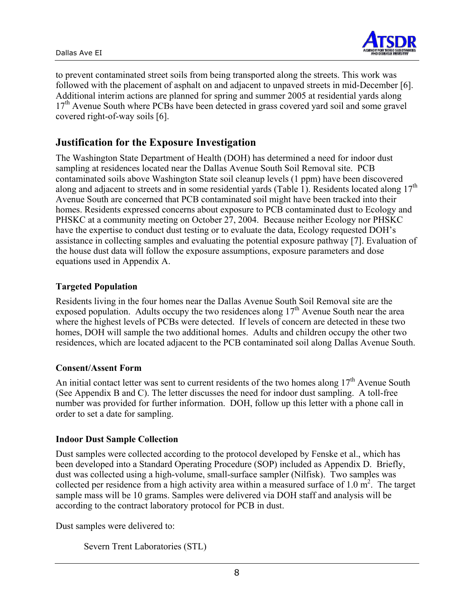

to prevent contaminated street soils from being transported along the streets. This work was followed with the placement of asphalt on and adjacent to unpaved streets in mid-December [6]. Additional interim actions are planned for spring and summer 2005 at residential yards along 17<sup>th</sup> Avenue South where PCBs have been detected in grass covered yard soil and some gravel covered right-of-way soils [6].

# **Justification for the Exposure Investigation**

The Washington State Department of Health (DOH) has determined a need for indoor dust sampling at residences located near the Dallas Avenue South Soil Removal site. PCB contaminated soils above Washington State soil cleanup levels (1 ppm) have been discovered along and adjacent to streets and in some residential yards (Table 1). Residents located along  $17<sup>th</sup>$ Avenue South are concerned that PCB contaminated soil might have been tracked into their homes. Residents expressed concerns about exposure to PCB contaminated dust to Ecology and PHSKC at a community meeting on October 27, 2004. Because neither Ecology nor PHSKC have the expertise to conduct dust testing or to evaluate the data, Ecology requested DOH's assistance in collecting samples and evaluating the potential exposure pathway [7]. Evaluation of the house dust data will follow the exposure assumptions, exposure parameters and dose equations used in Appendix A.

#### **Targeted Population**

Residents living in the four homes near the Dallas Avenue South Soil Removal site are the exposed population. Adults occupy the two residences along  $17<sup>th</sup>$  Avenue South near the area where the highest levels of PCBs were detected. If levels of concern are detected in these two homes, DOH will sample the two additional homes. Adults and children occupy the other two residences, which are located adjacent to the PCB contaminated soil along Dallas Avenue South.

#### **Consent/Assent Form**

An initial contact letter was sent to current residents of the two homes along  $17<sup>th</sup>$  Avenue South (See Appendix B and C). The letter discusses the need for indoor dust sampling. A toll-free number was provided for further information. DOH, follow up this letter with a phone call in order to set a date for sampling.

#### **Indoor Dust Sample Collection**

Dust samples were collected according to the protocol developed by Fenske et al., which has been developed into a Standard Operating Procedure (SOP) included as Appendix D. Briefly, dust was collected using a high-volume, small-surface sampler (Nilfisk). Two samples was collected per residence from a high activity area within a measured surface of 1.0  $m^2$ . The target sample mass will be 10 grams. Samples were delivered via DOH staff and analysis will be according to the contract laboratory protocol for PCB in dust.

Dust samples were delivered to:

```
Severn Trent Laboratories (STL)
```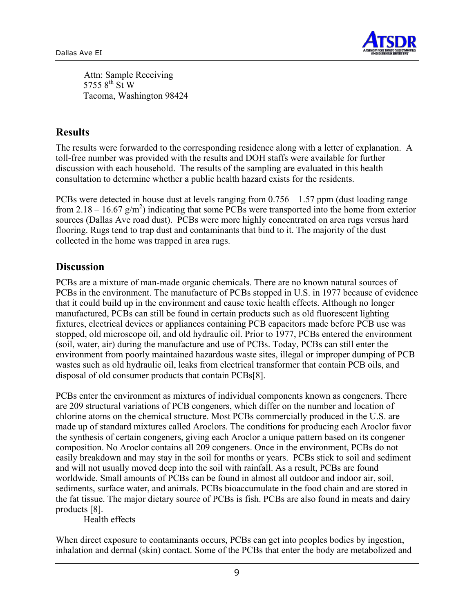

Attn: Sample Receiving 5755  $8^{\text{th}}$  St W Tacoma, Washington 98424

# **Results**

The results were forwarded to the corresponding residence along with a letter of explanation. A toll-free number was provided with the results and DOH staffs were available for further discussion with each household. The results of the sampling are evaluated in this health consultation to determine whether a public health hazard exists for the residents.

PCBs were detected in house dust at levels ranging from 0.756 – 1.57 ppm (dust loading range from 2.18 – 16.67  $g/m^2$ ) indicating that some PCBs were transported into the home from exterior sources (Dallas Ave road dust). PCBs were more highly concentrated on area rugs versus hard flooring. Rugs tend to trap dust and contaminants that bind to it. The majority of the dust collected in the home was trapped in area rugs.

### **Discussion**

PCBs are a mixture of man-made organic chemicals. There are no known natural sources of PCBs in the environment. The manufacture of PCBs stopped in U.S. in 1977 because of evidence that it could build up in the environment and cause toxic health effects. Although no longer manufactured, PCBs can still be found in certain products such as old fluorescent lighting fixtures, electrical devices or appliances containing PCB capacitors made before PCB use was stopped, old microscope oil, and old hydraulic oil. Prior to 1977, PCBs entered the environment (soil, water, air) during the manufacture and use of PCBs. Today, PCBs can still enter the environment from poorly maintained hazardous waste sites, illegal or improper dumping of PCB wastes such as old hydraulic oil, leaks from electrical transformer that contain PCB oils, and disposal of old consumer products that contain PCBs[8].

PCBs enter the environment as mixtures of individual components known as congeners. There are 209 structural variations of PCB congeners, which differ on the number and location of chlorine atoms on the chemical structure. Most PCBs commercially produced in the U.S. are made up of standard mixtures called Aroclors. The conditions for producing each Aroclor favor the synthesis of certain congeners, giving each Aroclor a unique pattern based on its congener composition. No Aroclor contains all 209 congeners. Once in the environment, PCBs do not easily breakdown and may stay in the soil for months or years. PCBs stick to soil and sediment and will not usually moved deep into the soil with rainfall. As a result, PCBs are found worldwide. Small amounts of PCBs can be found in almost all outdoor and indoor air, soil, sediments, surface water, and animals. PCBs bioaccumulate in the food chain and are stored in the fat tissue. The major dietary source of PCBs is fish. PCBs are also found in meats and dairy products [8].

Health effects

When direct exposure to contaminants occurs, PCBs can get into peoples bodies by ingestion, inhalation and dermal (skin) contact. Some of the PCBs that enter the body are metabolized and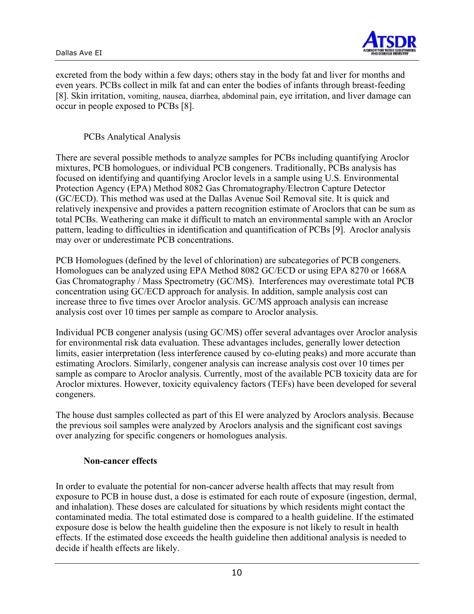

excreted from the body within a few days; others stay in the body fat and liver for months and even years. PCBs collect in milk fat and can enter the bodies of infants through breast-feeding [8]. Skin irritation, vomiting, nausea, diarrhea, abdominal pain, eye irritation, and liver damage can occur in people exposed to PCBs [8].

PCBs Analytical Analysis

There are several possible methods to analyze samples for PCBs including quantifying Aroclor mixtures, PCB homologues, or individual PCB congeners. Traditionally, PCBs analysis has focused on identifying and quantifying Aroclor levels in a sample using U.S. Environmental Protection Agency (EPA) Method 8082 Gas Chromatography/Electron Capture Detector (GC/ECD). This method was used at the Dallas Avenue Soil Removal site. It is quick and relatively inexpensive and provides a pattern recognition estimate of Aroclors that can be sum as total PCBs. Weathering can make it difficult to match an environmental sample with an Aroclor pattern, leading to difficulties in identification and quantification of PCBs [9]. Aroclor analysis may over or underestimate PCB concentrations.

PCB Homologues (defined by the level of chlorination) are subcategories of PCB congeners. Homologues can be analyzed using EPA Method 8082 GC/ECD or using EPA 8270 or 1668A Gas Chromatography / Mass Spectrometry (GC/MS). Interferences may overestimate total PCB concentration using GC/ECD approach for analysis. In addition, sample analysis cost can increase three to five times over Aroclor analysis. GC/MS approach analysis can increase analysis cost over 10 times per sample as compare to Aroclor analysis.

Individual PCB congener analysis (using GC/MS) offer several advantages over Aroclor analysis for environmental risk data evaluation. These advantages includes, generally lower detection limits, easier interpretation (less interference caused by co-eluting peaks) and more accurate than estimating Aroclors. Similarly, congener analysis can increase analysis cost over 10 times per sample as compare to Aroclor analysis. Currently, most of the available PCB toxicity data are for Aroclor mixtures. However, toxicity equivalency factors (TEFs) have been developed for several congeners.

The house dust samples collected as part of this EI were analyzed by Aroclors analysis. Because the previous soil samples were analyzed by Aroclors analysis and the significant cost savings over analyzing for specific congeners or homologues analysis.

#### **Non-cancer effects**

In order to evaluate the potential for non-cancer adverse health affects that may result from exposure to PCB in house dust, a dose is estimated for each route of exposure (ingestion, dermal, and inhalation). These doses are calculated for situations by which residents might contact the contaminated media. The total estimated dose is compared to a health guideline. If the estimated exposure dose is below the health guideline then the exposure is not likely to result in health effects. If the estimated dose exceeds the health guideline then additional analysis is needed to decide if health effects are likely.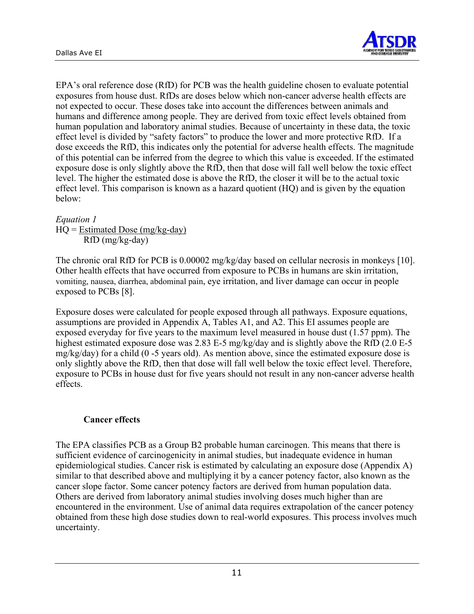

EPA's oral reference dose (RfD) for PCB was the health guideline chosen to evaluate potential exposures from house dust. RfDs are doses below which non-cancer adverse health effects are not expected to occur. These doses take into account the differences between animals and humans and difference among people. They are derived from toxic effect levels obtained from human population and laboratory animal studies. Because of uncertainty in these data, the toxic effect level is divided by "safety factors" to produce the lower and more protective RfD. If a dose exceeds the RfD, this indicates only the potential for adverse health effects. The magnitude of this potential can be inferred from the degree to which this value is exceeded. If the estimated exposure dose is only slightly above the RfD, then that dose will fall well below the toxic effect level. The higher the estimated dose is above the RfD, the closer it will be to the actual toxic effect level. This comparison is known as a hazard quotient (HQ) and is given by the equation below:

#### *Equation 1*

 $HQ = Estimated Does (mg/kg-day)$ RfD (mg/kg-day)

The chronic oral RfD for PCB is 0.00002 mg/kg/day based on cellular necrosis in monkeys [10]. Other health effects that have occurred from exposure to PCBs in humans are skin irritation, vomiting, nausea, diarrhea, abdominal pain, eye irritation, and liver damage can occur in people exposed to PCBs [8].

Exposure doses were calculated for people exposed through all pathways. Exposure equations, assumptions are provided in Appendix A, Tables A1, and A2. This EI assumes people are exposed everyday for five years to the maximum level measured in house dust (1.57 ppm). The highest estimated exposure dose was 2.83 E-5 mg/kg/day and is slightly above the RfD (2.0 E-5)  $mg/kg/day)$  for a child (0 -5 years old). As mention above, since the estimated exposure dose is only slightly above the RfD, then that dose will fall well below the toxic effect level. Therefore, exposure to PCBs in house dust for five years should not result in any non-cancer adverse health effects.

#### **Cancer effects**

The EPA classifies PCB as a Group B2 probable human carcinogen. This means that there is sufficient evidence of carcinogenicity in animal studies, but inadequate evidence in human epidemiological studies. Cancer risk is estimated by calculating an exposure dose (Appendix A) similar to that described above and multiplying it by a cancer potency factor, also known as the cancer slope factor. Some cancer potency factors are derived from human population data. Others are derived from laboratory animal studies involving doses much higher than are encountered in the environment. Use of animal data requires extrapolation of the cancer potency obtained from these high dose studies down to real-world exposures. This process involves much uncertainty.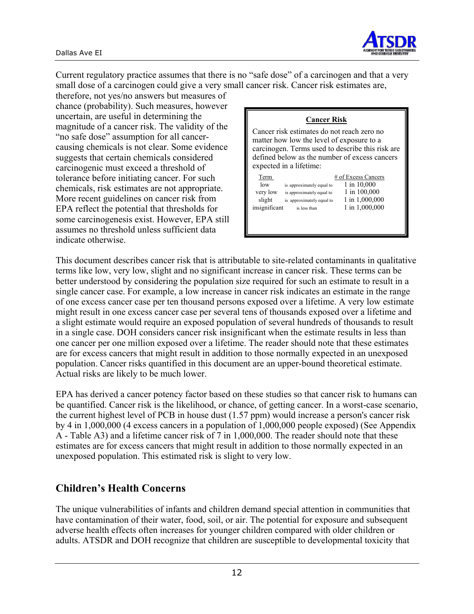

Current regulatory practice assumes that there is no "safe dose" of a carcinogen and that a very small dose of a carcinogen could give a very small cancer risk. Cancer risk estimates are,

therefore, not yes/no answers but measures of chance (probability). Such measures, however uncertain, are useful in determining the magnitude of a cancer risk. The validity of the "no safe dose" assumption for all cancercausing chemicals is not clear. Some evidence suggests that certain chemicals considered carcinogenic must exceed a threshold of tolerance before initiating cancer. For such chemicals, risk estimates are not appropriate. More recent guidelines on cancer risk from EPA reflect the potential that thresholds for some carcinogenesis exist. However, EPA still assumes no threshold unless sufficient data indicate otherwise.

| <b>Cancer Risk</b>                                                                                                                                                                                                      |                                                                                        |
|-------------------------------------------------------------------------------------------------------------------------------------------------------------------------------------------------------------------------|----------------------------------------------------------------------------------------|
| Cancer risk estimates do not reach zero no<br>matter how low the level of exposure to a<br>carcinogen. Terms used to describe this risk are<br>defined below as the number of excess cancers<br>expected in a lifetime: |                                                                                        |
| Term<br>low<br>is approximately equal to<br>very low<br>is approximately equal to<br>slight<br>is approximately equal to<br>insignificant<br>is less than                                                               | # of Excess Cancers<br>1 in 10,000<br>1 in 100,000<br>1 in 1,000,000<br>1 in 1,000,000 |

This document describes cancer risk that is attributable to site-related contaminants in qualitative terms like low, very low, slight and no significant increase in cancer risk. These terms can be better understood by considering the population size required for such an estimate to result in a single cancer case. For example, a low increase in cancer risk indicates an estimate in the range of one excess cancer case per ten thousand persons exposed over a lifetime. A very low estimate might result in one excess cancer case per several tens of thousands exposed over a lifetime and a slight estimate would require an exposed population of several hundreds of thousands to result in a single case. DOH considers cancer risk insignificant when the estimate results in less than one cancer per one million exposed over a lifetime. The reader should note that these estimates are for excess cancers that might result in addition to those normally expected in an unexposed population. Cancer risks quantified in this document are an upper-bound theoretical estimate. Actual risks are likely to be much lower.

EPA has derived a cancer potency factor based on these studies so that cancer risk to humans can be quantified. Cancer risk is the likelihood, or chance, of getting cancer. In a worst-case scenario, the current highest level of PCB in house dust (1.57 ppm) would increase a person's cancer risk by 4 in 1,000,000 (4 excess cancers in a population of 1,000,000 people exposed) (See Appendix A - Table A3) and a lifetime cancer risk of 7 in 1,000,000. The reader should note that these estimates are for excess cancers that might result in addition to those normally expected in an unexposed population. This estimated risk is slight to very low.

# **Children's Health Concerns**

The unique vulnerabilities of infants and children demand special attention in communities that have contamination of their water, food, soil, or air. The potential for exposure and subsequent adverse health effects often increases for younger children compared with older children or adults. ATSDR and DOH recognize that children are susceptible to developmental toxicity that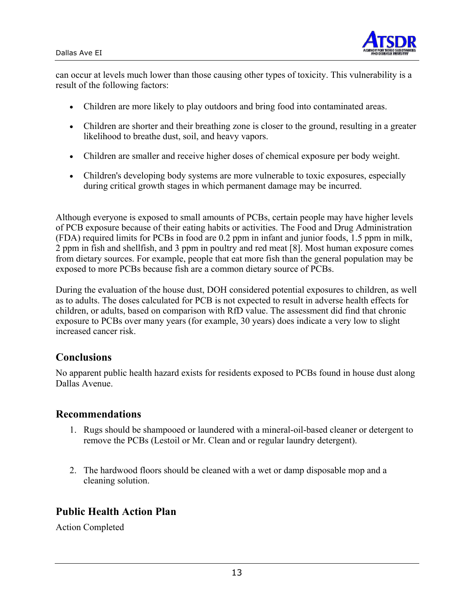

can occur at levels much lower than those causing other types of toxicity. This vulnerability is a result of the following factors:

- Children are more likely to play outdoors and bring food into contaminated areas.
- Children are shorter and their breathing zone is closer to the ground, resulting in a greater likelihood to breathe dust, soil, and heavy vapors.
- Children are smaller and receive higher doses of chemical exposure per body weight.
- Children's developing body systems are more vulnerable to toxic exposures, especially during critical growth stages in which permanent damage may be incurred.

Although everyone is exposed to small amounts of PCBs, certain people may have higher levels of PCB exposure because of their eating habits or activities. The Food and Drug Administration (FDA) required limits for PCBs in food are 0.2 ppm in infant and junior foods, 1.5 ppm in milk, 2 ppm in fish and shellfish, and 3 ppm in poultry and red meat [8]. Most human exposure comes from dietary sources. For example, people that eat more fish than the general population may be exposed to more PCBs because fish are a common dietary source of PCBs.

During the evaluation of the house dust, DOH considered potential exposures to children, as well as to adults. The doses calculated for PCB is not expected to result in adverse health effects for children, or adults, based on comparison with RfD value. The assessment did find that chronic exposure to PCBs over many years (for example, 30 years) does indicate a very low to slight increased cancer risk.

### **Conclusions**

No apparent public health hazard exists for residents exposed to PCBs found in house dust along Dallas Avenue.

#### **Recommendations**

- 1. Rugs should be shampooed or laundered with a mineral-oil-based cleaner or detergent to remove the PCBs (Lestoil or Mr. Clean and or regular laundry detergent).
- 2. The hardwood floors should be cleaned with a wet or damp disposable mop and a cleaning solution.

### **Public Health Action Plan**

Action Completed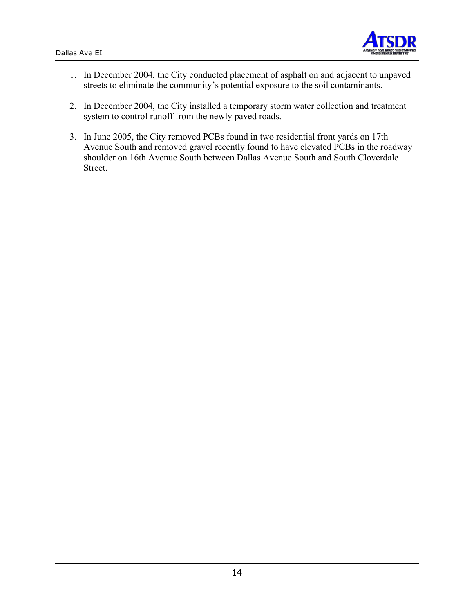

- 1. In December 2004, the City conducted placement of asphalt on and adjacent to unpaved streets to eliminate the community's potential exposure to the soil contaminants.
- 2. In December 2004, the City installed a temporary storm water collection and treatment system to control runoff from the newly paved roads.
- 3. In June 2005, the City removed PCBs found in two residential front yards on 17th Avenue South and removed gravel recently found to have elevated PCBs in the roadway shoulder on 16th Avenue South between Dallas Avenue South and South Cloverdale Street.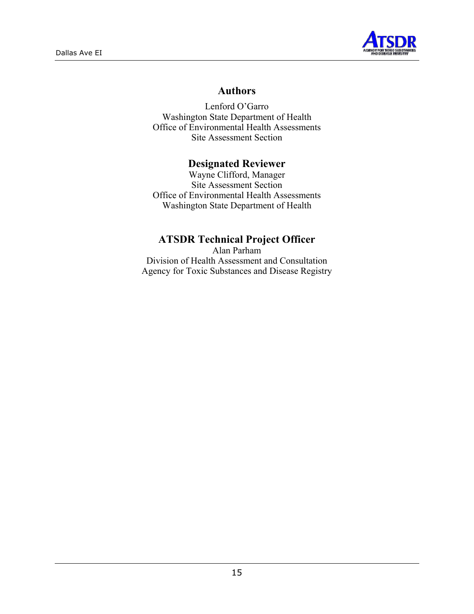

## **Authors**

Lenford O'Garro Washington State Department of Health Office of Environmental Health Assessments Site Assessment Section

### **Designated Reviewer**

Wayne Clifford, Manager Site Assessment Section Office of Environmental Health Assessments Washington State Department of Health

### **ATSDR Technical Project Officer**

Alan Parham Division of Health Assessment and Consultation Agency for Toxic Substances and Disease Registry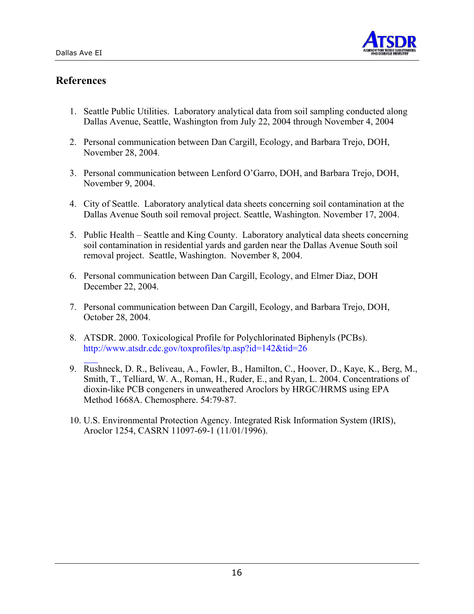

# **References**

- 1. Seattle Public Utilities. Laboratory analytical data from soil sampling conducted along Dallas Avenue, Seattle, Washington from July 22, 2004 through November 4, 2004
- 2. Personal communication between Dan Cargill, Ecology, and Barbara Trejo, DOH, November 28, 2004.
- 3. Personal communication between Lenford O'Garro, DOH, and Barbara Trejo, DOH, November 9, 2004.
- 4. City of Seattle. Laboratory analytical data sheets concerning soil contamination at the Dallas Avenue South soil removal project. Seattle, Washington. November 17, 2004.
- 5. Public Health Seattle and King County. Laboratory analytical data sheets concerning soil contamination in residential yards and garden near the Dallas Avenue South soil removal project. Seattle, Washington. November 8, 2004.
- 6. Personal communication between Dan Cargill, Ecology, and Elmer Diaz, DOH December 22, 2004.
- 7. Personal communication between Dan Cargill, Ecology, and Barbara Trejo, DOH, October 28, 2004.
- 8. ATSDR. 2000. Toxicological Profile for Polychlorinated Biphenyls (PCBs). http://www.atsdr.cdc.gov[/toxprofiles/tp.asp?id=142&tid=26](http://www.atsdr.cdc.gov/toxprofiles/tp.asp?id=142&tid=26)
- 9. Rushneck, D. R., Beliveau, A., Fowler, B., Hamilton, C., Hoover, D., Kaye, K., Berg, M., Smith, T., Telliard, W. A., Roman, H., Ruder, E., and Ryan, L. 2004. Concentrations of dioxin-like PCB congeners in unweathered Aroclors by HRGC/HRMS using EPA Method 1668A. Chemosphere. 54:79-87.
- 10. U.S. Environmental Protection Agency. Integrated Risk Information System (IRIS), Aroclor 1254, CASRN 11097-69-1 (11/01/1996).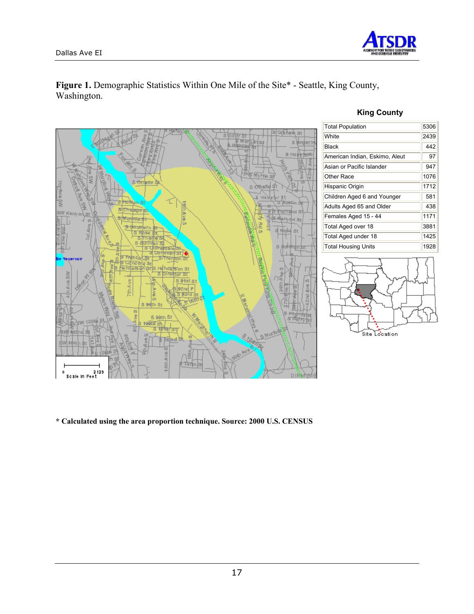

#### Figure 1. Demographic Statistics Within One Mile of the Site\* - Seattle, King County, Washington.

#### **King County**



**\* Calculated using the area proportion technique. Source: 2000 U.S. CENSUS**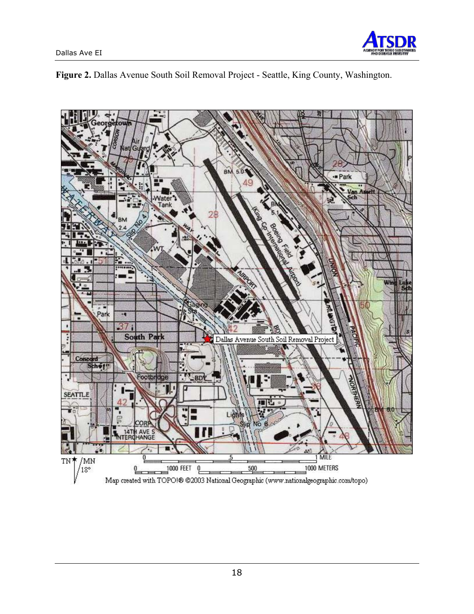



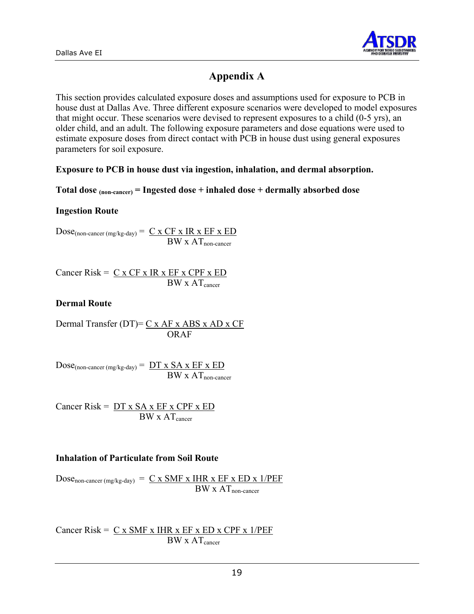

# **Appendix A**

This section provides calculated exposure doses and assumptions used for exposure to PCB in house dust at Dallas Ave. Three different exposure scenarios were developed to model exposures that might occur. These scenarios were devised to represent exposures to a child (0-5 yrs), an older child, and an adult. The following exposure parameters and dose equations were used to estimate exposure doses from direct contact with PCB in house dust using general exposures parameters for soil exposure.

#### **Exposure to PCB in house dust via ingestion, inhalation, and dermal absorption.**

#### **Total dose (non-cancer) = Ingested dose + inhaled dose + dermally absorbed dose**

#### **Ingestion Route**

 $Dose_{(non\text{-}cancer (mg/kg-day))} = C \times CF \times IR \times EF \times ED$  $BW x AT$ <sub>non-cancer</sub>

Cancer Risk =  $C x CF x IR x EF x CPF x ED$  $BW \times AT_{cancer}$ 

#### **Dermal Route**

Dermal Transfer (DT)=  $C x AF x ABS x AD x CF$ ORAF

 $Dose_{(non\text{-}cancer (mg/kg-day))} = DT x SA x EF x ED$  $BW \times AT$ <sub>non-cancer</sub>

Cancer Risk =  $DT x SA x EF x CPF x ED$  $BW \times AT_{cancer}$ 

#### **Inhalation of Particulate from Soil Route**

Dose<sub>non-cancer (mg/kg-day)</sub> =  $C \times SMF \times IHR \times EF \times ED \times 1/PEF$  $BW \times AT$ <sub>non-cancer</sub>

Cancer Risk =  $C x$  SMF x IHR x EF x ED x CPF x 1/PEF  $BW \times AT_{cancer}$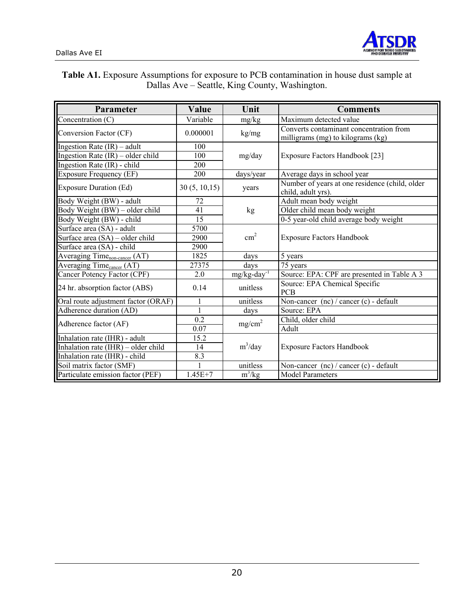

#### **Table A1.** Exposure Assumptions for exposure to PCB contamination in house dust sample at Dallas Ave – Seattle, King County, Washington.

| Parameter                                    | Value         | Unit                       | <b>Comments</b>                                                              |  |  |
|----------------------------------------------|---------------|----------------------------|------------------------------------------------------------------------------|--|--|
| $\overline{\text{Concentration}}$ (C)        | Variable      | mg/kg                      | Maximum detected value                                                       |  |  |
| Conversion Factor (CF)                       | 0.000001      | kg/mg                      | Converts contaminant concentration from<br>milligrams (mg) to kilograms (kg) |  |  |
| Ingestion Rate $(IR)$ – adult                | 100           |                            |                                                                              |  |  |
| Ingestion Rate (IR) - older child            | 100           | mg/day                     | Exposure Factors Handbook [23]                                               |  |  |
| Ingestion Rate (IR) - child                  | 200           |                            |                                                                              |  |  |
| <b>Exposure Frequency (EF)</b>               | 200           | days/year                  | Average days in school year                                                  |  |  |
| <b>Exposure Duration (Ed)</b>                | 30(5, 10, 15) | years                      | Number of years at one residence (child, older<br>child, adult yrs).         |  |  |
| Body Weight (BW) - adult                     | 72            |                            | Adult mean body weight                                                       |  |  |
| Body Weight $(BW) - o \overline{lder child}$ | 41            | kg                         | Older child mean body weight                                                 |  |  |
| Body Weight (BW) - child                     | 15            |                            | 0-5 year-old child average body weight                                       |  |  |
| Surface area (SA) - adult                    | 5700          |                            |                                                                              |  |  |
| Surface area (SA) – older child              | 2900          | $\text{cm}^2$              | <b>Exposure Factors Handbook</b>                                             |  |  |
| Surface area (SA) - child                    | 2900          |                            |                                                                              |  |  |
| Averaging Time <sub>non-cancer</sub> (AT)    | 1825          | days                       | 5 years                                                                      |  |  |
| Averaging Time <sub>cancer</sub> (AT)        | 27375         | days                       | 75 years                                                                     |  |  |
| Cancer Potency Factor (CPF)                  | 2.0           | $mg/kg$ -day <sup>-1</sup> | Source: EPA: CPF are presented in Table A 3                                  |  |  |
| 24 hr. absorption factor (ABS)               | 0.14          | unitless                   | Source: EPA Chemical Specific<br><b>PCB</b>                                  |  |  |
| Oral route adjustment factor (ORAF)          | 1             | unitless                   | Non-cancer (nc) / cancer (c) - default                                       |  |  |
| Adherence duration (AD)                      | 1             | days                       | Source: EPA                                                                  |  |  |
| Adherence factor (AF)                        | 0.2           | mg/cm <sup>2</sup>         | Child, older child                                                           |  |  |
|                                              | 0.07          |                            | Adult                                                                        |  |  |
| Inhalation rate (IHR) - adult                | 15.2          |                            |                                                                              |  |  |
| Inhalation rate $(IHR)$ – older child        | 14            | $m^3$ /day                 | <b>Exposure Factors Handbook</b>                                             |  |  |
| Inhalation rate (IHR) - child                | 8.3           |                            |                                                                              |  |  |
| Soil matrix factor (SMF)                     |               | unitless                   | Non-cancer $(nc)$ / cancer $(c)$ - default                                   |  |  |
| Particulate emission factor (PEF)            | $1.45E + 7$   | $m^3/kg$                   | Model Parameters                                                             |  |  |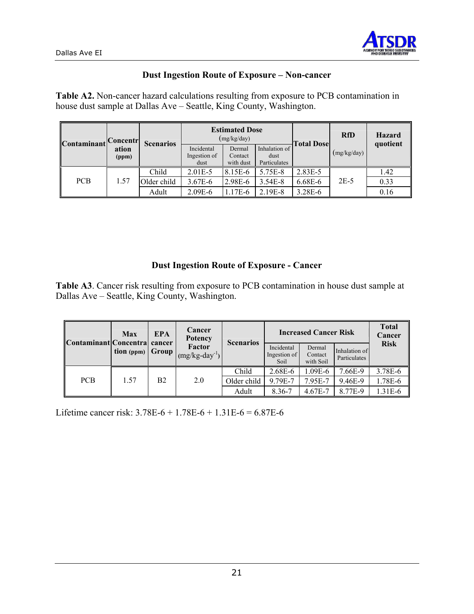

#### **Dust Ingestion Route of Exposure – Non-cancer**

**Table A2.** Non-cancer hazard calculations resulting from exposure to PCB contamination in house dust sample at Dallas Ave – Seattle, King County, Washington.

| Contaminant | Concentr       | <b>Scenarios</b> |                                    | <b>Estimated Dose</b><br>(mg/kg/day) |                                       | <b>Total Dose</b> | <b>RfD</b>  | <b>Hazard</b><br>quotient |
|-------------|----------------|------------------|------------------------------------|--------------------------------------|---------------------------------------|-------------------|-------------|---------------------------|
|             | ation<br>(ppm) |                  | Incidental<br>Ingestion of<br>dust | Dermal<br>Contact<br>with dust       | Inhalation of<br>dust<br>Particulates |                   | (mg/kg/day) |                           |
|             |                | Child            | $2.01E - 5$                        | 8.15E-6                              | 5.75E-8                               | 2.83E-5           |             | 1.42                      |
| <b>PCB</b>  | 1.57           | Older child      | $3.67E - 6$                        | 2.98E-6                              | $3.54E-8$                             | 6.68E-6           | $2E-5$      | 0.33                      |
|             |                | Adult            | $2.09E - 6$                        | 1.17E-6                              | 2.19E-8                               | $3.28E - 6$       |             | 0.16                      |

#### **Dust Ingestion Route of Exposure - Cancer**

**Table A3**. Cancer risk resulting from exposure to PCB contamination in house dust sample at Dallas Ave – Seattle, King County, Washington.

| Contaminant Concentra cancer         | Max                   | <b>EPA</b>  | Cancer<br><b>Potency</b>     | <b>Scenarios</b> |                                    | <b>Increased Cancer Risk</b>   |                               | <b>Total</b><br>Cancer |
|--------------------------------------|-----------------------|-------------|------------------------------|------------------|------------------------------------|--------------------------------|-------------------------------|------------------------|
|                                      | $\textbf{tion (ppm)}$ | Group       | Factor<br>$(mg/kg-day^{-1})$ |                  | Incidental<br>Ingestion of<br>Soil | Dermal<br>Contact<br>with Soil | Inhalation of<br>Particulates | <b>Risk</b>            |
|                                      |                       |             |                              | Child            | 2.68E-6                            | .09E-6                         | 7.66E-9                       | 3.78E-6                |
| <b>PCB</b><br>B <sub>2</sub><br>1.57 | 2.0                   | Older child | 9.79E-7                      | 7.95E-7          | 9.46E-9                            | 1.78E-6                        |                               |                        |
|                                      |                       |             |                              | Adult            | 8.36-7                             | $4.67E - 7$                    | 8.77E-9                       | 1.31E-6                |

Lifetime cancer risk: 3.78E-6 + 1.78E-6 + 1.31E-6 = 6.87E-6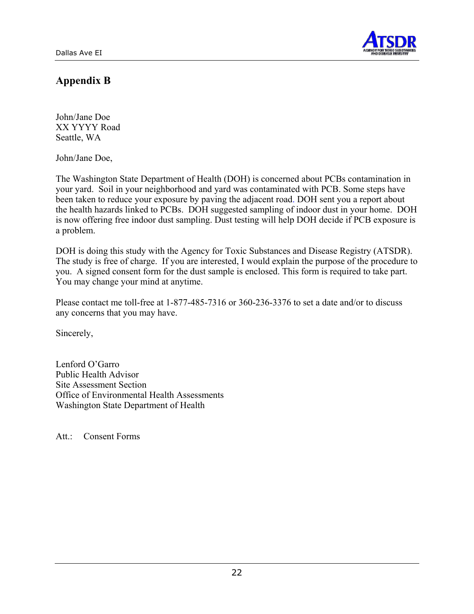

# **Appendix B**

John/Jane Doe XX YYYY Road Seattle, WA

John/Jane Doe,

The Washington State Department of Health (DOH) is concerned about PCBs contamination in your yard. Soil in your neighborhood and yard was contaminated with PCB. Some steps have been taken to reduce your exposure by paving the adjacent road. DOH sent you a report about the health hazards linked to PCBs. DOH suggested sampling of indoor dust in your home. DOH is now offering free indoor dust sampling. Dust testing will help DOH decide if PCB exposure is a problem.

DOH is doing this study with the Agency for Toxic Substances and Disease Registry (ATSDR). The study is free of charge. If you are interested, I would explain the purpose of the procedure to you. A signed consent form for the dust sample is enclosed. This form is required to take part. You may change your mind at anytime.

Please contact me toll-free at 1-877-485-7316 or 360-236-3376 to set a date and/or to discuss any concerns that you may have.

Sincerely,

Lenford O'Garro Public Health Advisor Site Assessment Section Office of Environmental Health Assessments Washington State Department of Health

Att.: Consent Forms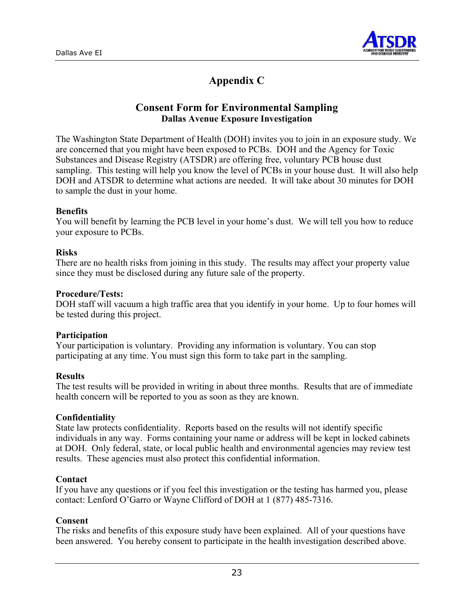

# **Appendix C**

#### **Consent Form for Environmental Sampling Dallas Avenue Exposure Investigation**

The Washington State Department of Health (DOH) invites you to join in an exposure study. We are concerned that you might have been exposed to PCBs. DOH and the Agency for Toxic Substances and Disease Registry (ATSDR) are offering free, voluntary PCB house dust sampling. This testing will help you know the level of PCBs in your house dust. It will also help DOH and ATSDR to determine what actions are needed. It will take about 30 minutes for DOH to sample the dust in your home.

#### **Benefits**

You will benefit by learning the PCB level in your home's dust. We will tell you how to reduce your exposure to PCBs.

#### **Risks**

There are no health risks from joining in this study. The results may affect your property value since they must be disclosed during any future sale of the property.

#### **Procedure/Tests:**

DOH staff will vacuum a high traffic area that you identify in your home. Up to four homes will be tested during this project.

#### **Participation**

Your participation is voluntary. Providing any information is voluntary. You can stop participating at any time. You must sign this form to take part in the sampling.

#### **Results**

The test results will be provided in writing in about three months. Results that are of immediate health concern will be reported to you as soon as they are known.

#### **Confidentiality**

State law protects confidentiality. Reports based on the results will not identify specific individuals in any way. Forms containing your name or address will be kept in locked cabinets at DOH. Only federal, state, or local public health and environmental agencies may review test results. These agencies must also protect this confidential information.

#### **Contact**

If you have any questions or if you feel this investigation or the testing has harmed you, please contact: Lenford O'Garro or Wayne Clifford of DOH at 1 (877) 485-7316.

#### **Consent**

The risks and benefits of this exposure study have been explained. All of your questions have been answered. You hereby consent to participate in the health investigation described above.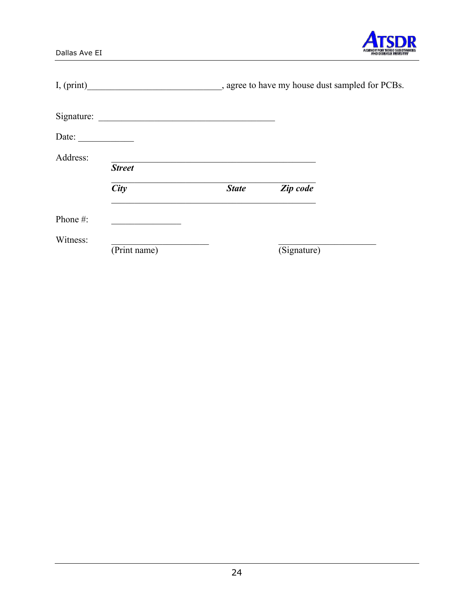| $\mathbf{a} \in \mathbb{R}$<br>R٣ |
|-----------------------------------|

|                       | I, (print)    |              | _, agree to have my house dust sampled for PCBs. |  |
|-----------------------|---------------|--------------|--------------------------------------------------|--|
|                       |               |              |                                                  |  |
| Date: $\qquad \qquad$ |               |              |                                                  |  |
| Address:              | <b>Street</b> |              |                                                  |  |
|                       | <b>City</b>   | <b>State</b> | Zip code                                         |  |
| Phone #:              |               |              |                                                  |  |
| Witness:              | (Print name)  |              | (Signature)                                      |  |

Dallas Ave EI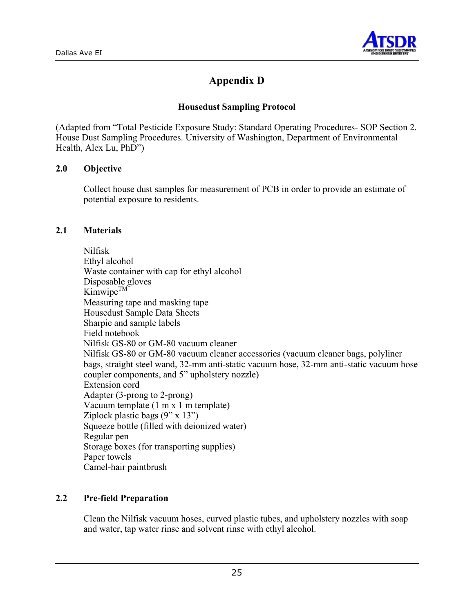

# **Appendix D**

#### **Housedust Sampling Protocol**

(Adapted from "Total Pesticide Exposure Study: Standard Operating Procedures- SOP Section 2. House Dust Sampling Procedures. University of Washington, Department of Environmental Health, Alex Lu, PhD")

#### **2.0 Objective**

Collect house dust samples for measurement of PCB in order to provide an estimate of potential exposure to residents.

#### **2.1 Materials**

Nilfisk Ethyl alcohol Waste container with cap for ethyl alcohol Disposable gloves  $Kimwipe<sup>TM</sup>$ Measuring tape and masking tape Housedust Sample Data Sheets Sharpie and sample labels Field notebook Nilfisk GS-80 or GM-80 vacuum cleaner Nilfisk GS-80 or GM-80 vacuum cleaner accessories (vacuum cleaner bags, polyliner bags, straight steel wand, 32-mm anti-static vacuum hose, 32-mm anti-static vacuum hose coupler components, and 5" upholstery nozzle) Extension cord Adapter (3-prong to 2-prong) Vacuum template (1 m x 1 m template) Ziplock plastic bags  $(9'' \times 13'')$ Squeeze bottle (filled with deionized water) Regular pen Storage boxes (for transporting supplies) Paper towels Camel-hair paintbrush

#### **2.2 Pre-field Preparation**

Clean the Nilfisk vacuum hoses, curved plastic tubes, and upholstery nozzles with soap and water, tap water rinse and solvent rinse with ethyl alcohol.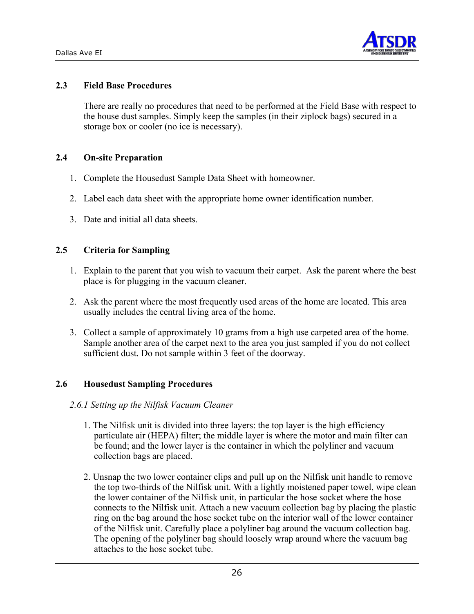

#### **2.3 Field Base Procedures**

There are really no procedures that need to be performed at the Field Base with respect to the house dust samples. Simply keep the samples (in their ziplock bags) secured in a storage box or cooler (no ice is necessary).

#### **2.4 On-site Preparation**

- 1. Complete the Housedust Sample Data Sheet with homeowner.
- 2. Label each data sheet with the appropriate home owner identification number.
- 3. Date and initial all data sheets.

#### **2.5 Criteria for Sampling**

- 1. Explain to the parent that you wish to vacuum their carpet. Ask the parent where the best place is for plugging in the vacuum cleaner.
- 2. Ask the parent where the most frequently used areas of the home are located. This area usually includes the central living area of the home.
- 3. Collect a sample of approximately 10 grams from a high use carpeted area of the home. Sample another area of the carpet next to the area you just sampled if you do not collect sufficient dust. Do not sample within 3 feet of the doorway.

#### **2.6 Housedust Sampling Procedures**

#### *2.6.1 Setting up the Nilfisk Vacuum Cleaner*

- 1. The Nilfisk unit is divided into three layers: the top layer is the high efficiency particulate air (HEPA) filter; the middle layer is where the motor and main filter can be found; and the lower layer is the container in which the polyliner and vacuum collection bags are placed.
- 2. Unsnap the two lower container clips and pull up on the Nilfisk unit handle to remove the top two-thirds of the Nilfisk unit. With a lightly moistened paper towel, wipe clean the lower container of the Nilfisk unit, in particular the hose socket where the hose connects to the Nilfisk unit. Attach a new vacuum collection bag by placing the plastic ring on the bag around the hose socket tube on the interior wall of the lower container of the Nilfisk unit. Carefully place a polyliner bag around the vacuum collection bag. The opening of the polyliner bag should loosely wrap around where the vacuum bag attaches to the hose socket tube.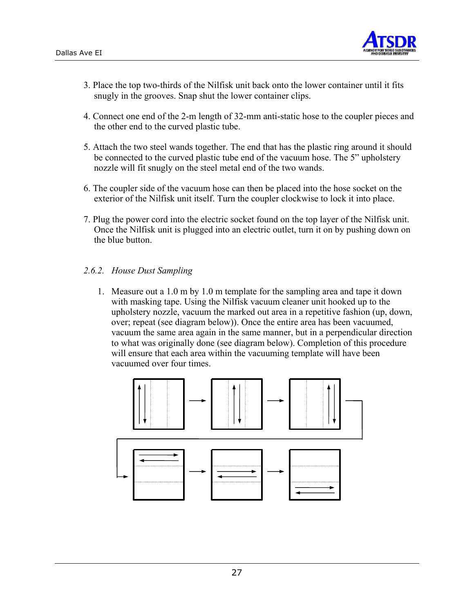

- 3. Place the top two-thirds of the Nilfisk unit back onto the lower container until it fits snugly in the grooves. Snap shut the lower container clips.
- 4. Connect one end of the 2-m length of 32-mm anti-static hose to the coupler pieces and the other end to the curved plastic tube.
- 5. Attach the two steel wands together. The end that has the plastic ring around it should be connected to the curved plastic tube end of the vacuum hose. The 5" upholstery nozzle will fit snugly on the steel metal end of the two wands.
- 6. The coupler side of the vacuum hose can then be placed into the hose socket on the exterior of the Nilfisk unit itself. Turn the coupler clockwise to lock it into place.
- 7. Plug the power cord into the electric socket found on the top layer of the Nilfisk unit. Once the Nilfisk unit is plugged into an electric outlet, turn it on by pushing down on the blue button.

#### *2.6.2. House Dust Sampling*

1. Measure out a 1.0 m by 1.0 m template for the sampling area and tape it down with masking tape. Using the Nilfisk vacuum cleaner unit hooked up to the upholstery nozzle, vacuum the marked out area in a repetitive fashion (up, down, over; repeat (see diagram below)). Once the entire area has been vacuumed, vacuum the same area again in the same manner, but in a perpendicular direction to what was originally done (see diagram below). Completion of this procedure will ensure that each area within the vacuuming template will have been vacuumed over four times.

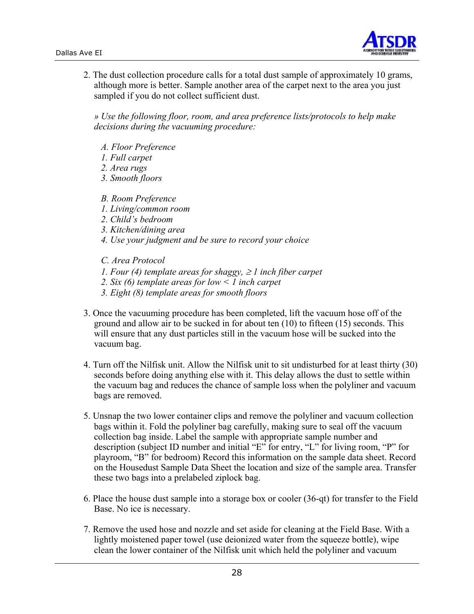

2. The dust collection procedure calls for a total dust sample of approximately 10 grams, although more is better. Sample another area of the carpet next to the area you just sampled if you do not collect sufficient dust.

*» Use the following floor, room, and area preference lists/protocols to help make decisions during the vacuuming procedure:* 

- *A. Floor Preference*
- *1. Full carpet*
- *2. Area rugs*
- *3. Smooth floors*
- *B. Room Preference*
- *1. Living/common room*
- *2. Child's bedroom*
- *3. Kitchen/dining area*
- *4. Use your judgment and be sure to record your choice*

*C. Area Protocol* 

- *1. Four (4) template areas for shaggy, ≥ 1 inch fiber carpet*
- *2. Six (6) template areas for low < 1 inch carpet*
- *3. Eight (8) template areas for smooth floors*
- 3. Once the vacuuming procedure has been completed, lift the vacuum hose off of the ground and allow air to be sucked in for about ten (10) to fifteen (15) seconds. This will ensure that any dust particles still in the vacuum hose will be sucked into the vacuum bag.
- 4. Turn off the Nilfisk unit. Allow the Nilfisk unit to sit undisturbed for at least thirty (30) seconds before doing anything else with it. This delay allows the dust to settle within the vacuum bag and reduces the chance of sample loss when the polyliner and vacuum bags are removed.
- 5. Unsnap the two lower container clips and remove the polyliner and vacuum collection bags within it. Fold the polyliner bag carefully, making sure to seal off the vacuum collection bag inside. Label the sample with appropriate sample number and description (subject ID number and initial "E" for entry, "L" for living room, "P" for playroom, "B" for bedroom) Record this information on the sample data sheet. Record on the Housedust Sample Data Sheet the location and size of the sample area. Transfer these two bags into a prelabeled ziplock bag.
- 6. Place the house dust sample into a storage box or cooler (36-qt) for transfer to the Field Base. No ice is necessary.
- 7. Remove the used hose and nozzle and set aside for cleaning at the Field Base. With a lightly moistened paper towel (use deionized water from the squeeze bottle), wipe clean the lower container of the Nilfisk unit which held the polyliner and vacuum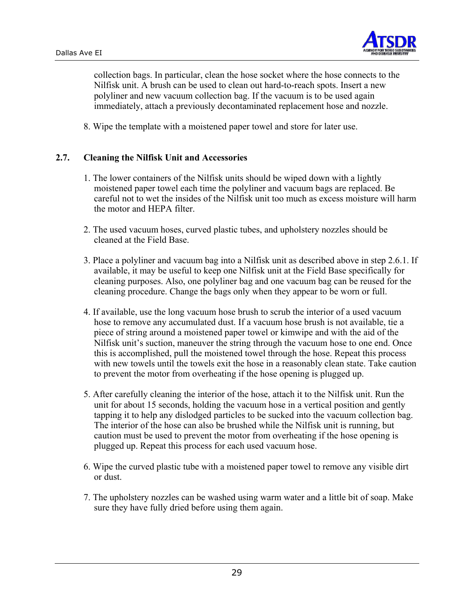![](_page_29_Picture_1.jpeg)

collection bags. In particular, clean the hose socket where the hose connects to the Nilfisk unit. A brush can be used to clean out hard-to-reach spots. Insert a new polyliner and new vacuum collection bag. If the vacuum is to be used again immediately, attach a previously decontaminated replacement hose and nozzle.

8. Wipe the template with a moistened paper towel and store for later use.

#### **2.7. Cleaning the Nilfisk Unit and Accessories**

- 1. The lower containers of the Nilfisk units should be wiped down with a lightly moistened paper towel each time the polyliner and vacuum bags are replaced. Be careful not to wet the insides of the Nilfisk unit too much as excess moisture will harm the motor and HEPA filter.
- 2. The used vacuum hoses, curved plastic tubes, and upholstery nozzles should be cleaned at the Field Base.
- 3. Place a polyliner and vacuum bag into a Nilfisk unit as described above in step 2.6.1. If available, it may be useful to keep one Nilfisk unit at the Field Base specifically for cleaning purposes. Also, one polyliner bag and one vacuum bag can be reused for the cleaning procedure. Change the bags only when they appear to be worn or full.
- 4. If available, use the long vacuum hose brush to scrub the interior of a used vacuum hose to remove any accumulated dust. If a vacuum hose brush is not available, tie a piece of string around a moistened paper towel or kimwipe and with the aid of the Nilfisk unit's suction, maneuver the string through the vacuum hose to one end. Once this is accomplished, pull the moistened towel through the hose. Repeat this process with new towels until the towels exit the hose in a reasonably clean state. Take caution to prevent the motor from overheating if the hose opening is plugged up.
- 5. After carefully cleaning the interior of the hose, attach it to the Nilfisk unit. Run the unit for about 15 seconds, holding the vacuum hose in a vertical position and gently tapping it to help any dislodged particles to be sucked into the vacuum collection bag. The interior of the hose can also be brushed while the Nilfisk unit is running, but caution must be used to prevent the motor from overheating if the hose opening is plugged up. Repeat this process for each used vacuum hose.
- 6. Wipe the curved plastic tube with a moistened paper towel to remove any visible dirt or dust.
- 7. The upholstery nozzles can be washed using warm water and a little bit of soap. Make sure they have fully dried before using them again.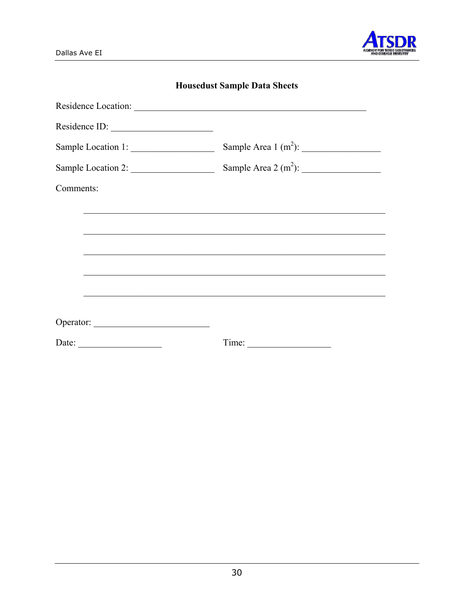![](_page_30_Picture_1.jpeg)

| Residence ID:         |                        |
|-----------------------|------------------------|
| Sample Location 1:    | Sample Area $1(m^2)$ : |
| Sample Location 2:    |                        |
| Comments:             |                        |
|                       |                        |
|                       |                        |
|                       |                        |
|                       |                        |
|                       |                        |
|                       |                        |
|                       |                        |
| Date: $\qquad \qquad$ |                        |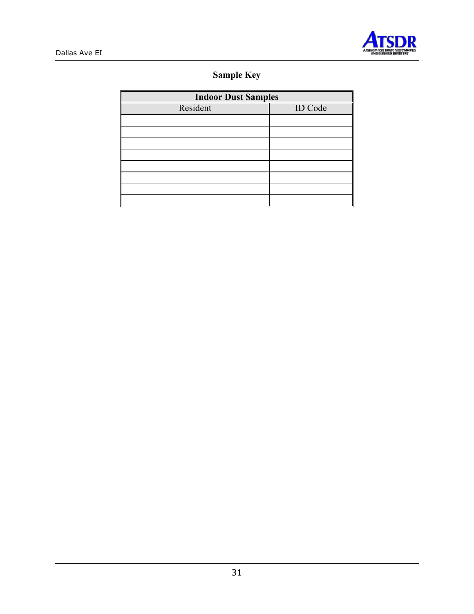![](_page_31_Picture_0.jpeg)

![](_page_31_Picture_1.jpeg)

# **Sample Key**

| <b>Indoor Dust Samples</b> |         |  |  |  |  |
|----------------------------|---------|--|--|--|--|
| Resident                   | ID Code |  |  |  |  |
|                            |         |  |  |  |  |
|                            |         |  |  |  |  |
|                            |         |  |  |  |  |
|                            |         |  |  |  |  |
|                            |         |  |  |  |  |
|                            |         |  |  |  |  |
|                            |         |  |  |  |  |
|                            |         |  |  |  |  |